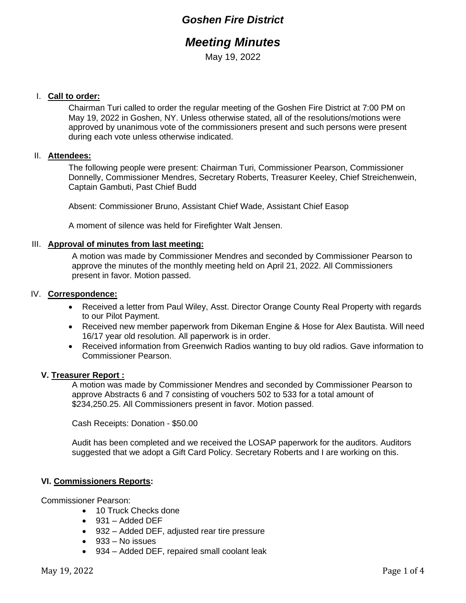## *Goshen Fire District*

# *Meeting Minutes*

May 19, 2022

#### I. **Call to order:**

Chairman Turi called to order the regular meeting of the Goshen Fire District at 7:00 PM on May 19, 2022 in Goshen, NY. Unless otherwise stated, all of the resolutions/motions were approved by unanimous vote of the commissioners present and such persons were present during each vote unless otherwise indicated.

#### II. **Attendees:**

The following people were present: Chairman Turi, Commissioner Pearson, Commissioner Donnelly, Commissioner Mendres, Secretary Roberts, Treasurer Keeley, Chief Streichenwein, Captain Gambuti, Past Chief Budd

Absent: Commissioner Bruno, Assistant Chief Wade, Assistant Chief Easop

A moment of silence was held for Firefighter Walt Jensen.

#### III. **Approval of minutes from last meeting:**

A motion was made by Commissioner Mendres and seconded by Commissioner Pearson to approve the minutes of the monthly meeting held on April 21, 2022. All Commissioners present in favor. Motion passed.

#### IV. **Correspondence:**

- Received a letter from Paul Wiley, Asst. Director Orange County Real Property with regards to our Pilot Payment.
- Received new member paperwork from Dikeman Engine & Hose for Alex Bautista. Will need 16/17 year old resolution. All paperwork is in order.
- Received information from Greenwich Radios wanting to buy old radios. Gave information to Commissioner Pearson.

#### **V. Treasurer Report :**

A motion was made by Commissioner Mendres and seconded by Commissioner Pearson to approve Abstracts 6 and 7 consisting of vouchers 502 to 533 for a total amount of \$234,250.25. All Commissioners present in favor. Motion passed.

Cash Receipts: Donation - \$50.00

Audit has been completed and we received the LOSAP paperwork for the auditors. Auditors suggested that we adopt a Gift Card Policy. Secretary Roberts and I are working on this.

#### **VI. Commissioners Reports:**

Commissioner Pearson:

- 10 Truck Checks done
- $\bullet$  931 Added DEF
- 932 Added DEF, adjusted rear tire pressure
- 933 No issues
- 934 Added DEF, repaired small coolant leak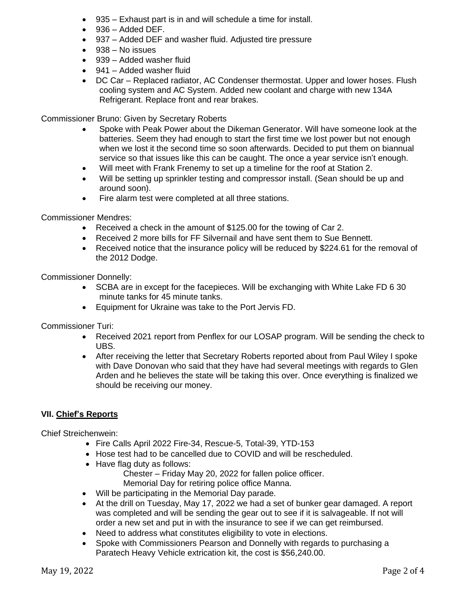- 935 Exhaust part is in and will schedule a time for install.
- 936 Added DEF.
- 937 Added DEF and washer fluid. Adjusted tire pressure
- 938 No issues
- 939 Added washer fluid
- 941 Added washer fluid
- DC Car Replaced radiator, AC Condenser thermostat. Upper and lower hoses. Flush cooling system and AC System. Added new coolant and charge with new 134A Refrigerant. Replace front and rear brakes.

Commissioner Bruno: Given by Secretary Roberts

- Spoke with Peak Power about the Dikeman Generator. Will have someone look at the batteries. Seem they had enough to start the first time we lost power but not enough when we lost it the second time so soon afterwards. Decided to put them on biannual service so that issues like this can be caught. The once a year service isn't enough.
- Will meet with Frank Frenemy to set up a timeline for the roof at Station 2.
- Will be setting up sprinkler testing and compressor install. (Sean should be up and around soon).
- Fire alarm test were completed at all three stations.

Commissioner Mendres:

- Received a check in the amount of \$125.00 for the towing of Car 2.
- Received 2 more bills for FF Silvernail and have sent them to Sue Bennett.
- Received notice that the insurance policy will be reduced by \$224.61 for the removal of the 2012 Dodge.

Commissioner Donnelly:

- SCBA are in except for the facepieces. Will be exchanging with White Lake FD 6 30 minute tanks for 45 minute tanks.
- Equipment for Ukraine was take to the Port Jervis FD.

Commissioner Turi:

- Received 2021 report from Penflex for our LOSAP program. Will be sending the check to UBS.
- After receiving the letter that Secretary Roberts reported about from Paul Wiley I spoke with Dave Donovan who said that they have had several meetings with regards to Glen Arden and he believes the state will be taking this over. Once everything is finalized we should be receiving our money.

### **VII. Chief's Reports**

Chief Streichenwein:

- Fire Calls April 2022 Fire-34, Rescue-5, Total-39, YTD-153
- Hose test had to be cancelled due to COVID and will be rescheduled.
- Have flag duty as follows: Chester – Friday May 20, 2022 for fallen police officer. Memorial Day for retiring police office Manna.
- Will be participating in the Memorial Day parade.
- At the drill on Tuesday, May 17, 2022 we had a set of bunker gear damaged. A report was completed and will be sending the gear out to see if it is salvageable. If not will order a new set and put in with the insurance to see if we can get reimbursed.
- Need to address what constitutes eligibility to vote in elections.
- Spoke with Commissioners Pearson and Donnelly with regards to purchasing a Paratech Heavy Vehicle extrication kit, the cost is \$56,240.00.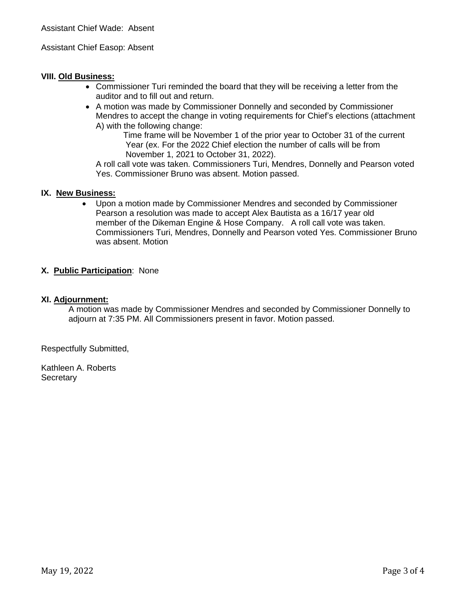#### Assistant Chief Easop: Absent

#### **VIII. Old Business:**

- Commissioner Turi reminded the board that they will be receiving a letter from the auditor and to fill out and return.
- A motion was made by Commissioner Donnelly and seconded by Commissioner Mendres to accept the change in voting requirements for Chief's elections (attachment A) with the following change:

Time frame will be November 1 of the prior year to October 31 of the current Year (ex. For the 2022 Chief election the number of calls will be from November 1, 2021 to October 31, 2022).

A roll call vote was taken. Commissioners Turi, Mendres, Donnelly and Pearson voted Yes. Commissioner Bruno was absent. Motion passed.

#### **IX. New Business:**

• Upon a motion made by Commissioner Mendres and seconded by Commissioner Pearson a resolution was made to accept Alex Bautista as a 16/17 year old member of the Dikeman Engine & Hose Company. A roll call vote was taken. Commissioners Turi, Mendres, Donnelly and Pearson voted Yes. Commissioner Bruno was absent. Motion

#### **X. Public Participation**: None

#### **XI. Adjournment:**

A motion was made by Commissioner Mendres and seconded by Commissioner Donnelly to adjourn at 7:35 PM. All Commissioners present in favor. Motion passed.

Respectfully Submitted,

Kathleen A. Roberts **Secretary**